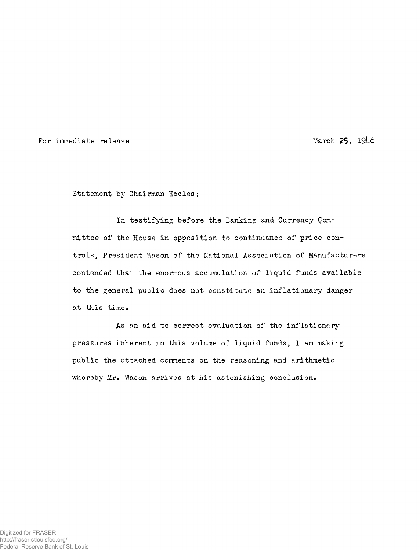For immediate release  $\frac{1916}{6}$ 

Statement by Chairman Eccles:

In testifying before the Banking and Currency Committee of the House in opposition to continuance of price controls, President Wason of the National Association of Manufacturers contended that the enormous accumulation of liquid funds available to the general public does not constitute an inflationary danger at this time.

As an aid to correct evaluation of the inflationary pressures inherent in this volume of liquid funds, I am making public the attached comments on the reasoning and arithmetic whereby Mr, Wason arrives at his astonishing conclusion.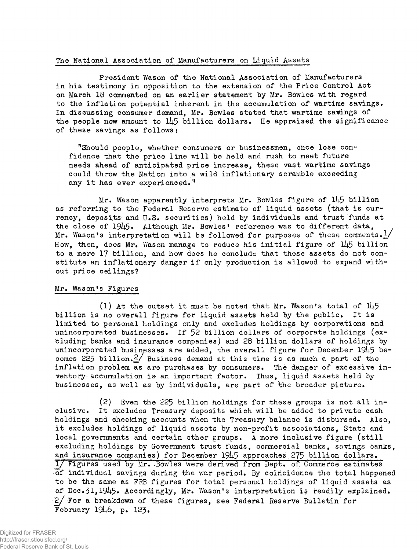## The National Association of Manufacturers on Liquid Assets

President Wason of the National Association of Manufacturers in his testimony in opposition to the extension of the Price Control Act on March 18 commented on an earlier statement by Mr. Bowles with regard to the inflation potential inherent in the accumulation of wartime savings. In discussing consumer demand. Mr. Bowles stated that wartime savings of the people now amount to 145 billion dollars. He appraised the significance of these savings as follows:

"Should people, whether consumers or businessmen, once lose confidence that the price line will be held and rush to meet future needs ahead of anticipated price increase, these vast wartime savings could throw the Nation into a wild inflationary scramble exceeding any it has ever experienced."

Mr. Wason apparently interprets Mr. Bowles figure of 145 billion as referring to the Federal Reserve estimate of liquid assets (that is currency, deposits and U.S. securities) held by individuals and trust funds at the close of 1945. Although Mr. Bowles' reference was to different data, Mr. Wason's interpretation will be followed for purposes of these comments.  $\frac{1}{2}$ How, then, does Mr. Wason manage to reduce his initial figure of  $1\mu$ 5 billion to a mere 17 billion, and how does he conclude that these assets do not constitute an inflationary danger if only production is allowed to expand without price ceilings?

## Mr. Wason\*s Figures

(1) At the outset it must be noted that Mr. Wason's total of  $1\!\!1\!45$ billion is no overall figure for liquid assets held by the public. It is limited to personal holdings only and excludes holdings by corporations and unincorporated businesses. If 52 billion dollars of corporate holdings (excluding banks and insurance companies) and 28 billion dollars of holdings by unincorporated businesses are added, the overall figure for December 1945 becomes 225 billion. $\frac{2}{1}$  Business demand at this time is as much a part of the inflation problem as are purchases by consumers. The danger of excessive inventory accumulation is an important factor. Thus, liquid assets held by businesses, as well as by individuals, are part of the broader picture.

(2) Even the 225 billion holdings for these groups is not all inclusive. It excludes Treasury deposits which will be added to private cash holdings and checking accounts when the Treasury balance is disbursed. Also, it excludes holdings of liquid assets by non-profit associations, State and local governments and certain other groups. A more inclusive figure (still excluding holdings by Government trust funds, commercial banks, savings banks, and insurance companies) for December 1945 approaches 275 billion dollars. 1/ Figures used by Mr. -Bowles were derived from Dept. of Commerce estimates of individual savings during the war period. By coincidence the total happened to be the same as FRB figures for total personal holdings of liquid assets as of Dec.31,1945. Accordingly, Mr. Wason's interpretation is readily explained. 2/ For a breakdown of these figures, see Federal Reserve Bulletin for February  $19\mu$ 6. p. 123.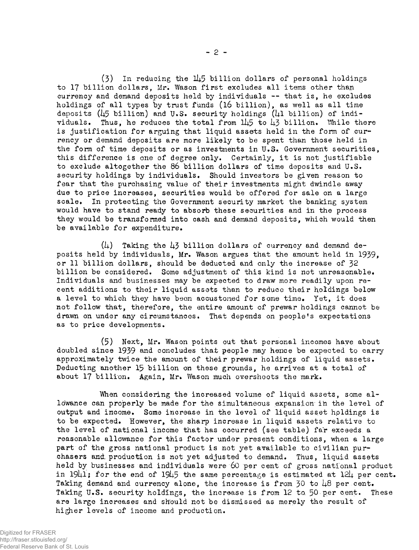$(3)$  In reducing the 145 billion dollars of personal holdings to 17 billion dollars, Mr. Wason first excludes all items other than currency and demand deposits held by individuals — that is, he excludes holdings of all types by trust funds (16 billion), as well as all time deposits (45 billion) and U.S. security holdings (41 billion) of individuals. Thus, he reduces the total from  $145$  to  $43$  billion. While there is justification for arguing that liquid assets held in the form of currency or demand deposits are more likely to be spent than those held in the form of time deposits or as investments in U.S. Government securities, this difference is one of degree only. Certainly, it is not justifiable to exclude altogether the 86 billion dollars of time deposits and U.S. security holdings by individuals. Should investors be given reason to fear that the purchasing value of their investments might dwindle away due to price increases, securities would be offered for sale on a large scale. In protecting the Government security market the banking system would have to stand ready to absorb these securities and in the process they would be transformed into cash and demand deposits, which would then be available for expenditure.

 $(1)$  Taking the  $13$  billion dollars of currency and demand deposits held by individuals, Mr. Wason argues that the amount held in 1939, or 11 billion dollars, should be deducted and only the increase of 32 billion be considered. Some adjustment of this kind is not unreasonable. Individuals and businesses may be expected to draw more readily upon recent additions to their liquid assets than to reduce their holdings below a level to which they have been accustomed for some time. Yet, it does not follow that, therefore, the entire amount of prewar holdings cannot be drawn on under any circumstances. That depends on people's expectations as to price developments.

(5) Next, Mr. Wason points out that personal incomes have about doubled since 1939 and concludes that people may hence be expected to carry approximately twice the amount of their prewar holdings of liquid assets. Deducting another 15 billion on these grounds, he arrives at a total of about 17 billion. Again, Mr. Wason much overshoots the mark.

When considering the increased volume of liquid assets, some allowance can properly be made for the simultaneous expansion in the level of output and income. Some increase in the level of liquid asset hpldings is to be expected. However, the sharp increase in liquid assets relative to the level of national income that has occurred (see table) far exceeds a reasonable allowance for this factor under present conditions, when a large part of the gross national product is not yet available to civilian purchasers and production is not yet adjusted to demand. Thus, liquid assets held by businesses and individuals were 60 per cent of gross national product in 19 $\mu$ 1; for the end of 19 $\mu$ 5 the same percentage is estimated at 12 $\mu$  per cent. Taking demand and currency alone, the increase is from 30 to 48 per cent. Taking U.S. security holdings, the increase is from 12 to. *\$0 per* cent. These are large increases and should not be dismissed as merely the result of higher levels of income and production.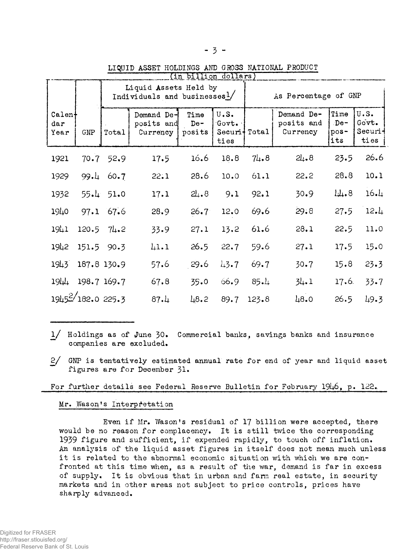## LIQUID ASSET HOLDINGS AND GROSS NATIONAL PRODUCT

|                                                      |                   | in billion dollars)<br>Liquid Assets Held by<br>Individuals and businesses1/ |                                      |                         |                                              | As Percentage of GNP |                                      |                                     |                                 |
|------------------------------------------------------|-------------------|------------------------------------------------------------------------------|--------------------------------------|-------------------------|----------------------------------------------|----------------------|--------------------------------------|-------------------------------------|---------------------------------|
| $\mathtt{Calen}$<br>$\mathbf{d}\mathbf{a}$ r<br>Year | GMP               | Total                                                                        | Demand De-<br>posits and<br>Currency | Time<br>$De-$<br>posits | U.S.<br>Govt.<br>Securi <sup>+</sup><br>ties | Total                | Demand De-<br>posits and<br>Currency | Time<br>$\Delta$ De-<br>pos-<br>its | U.S.<br>Govt.<br>Securi<br>ties |
| 1921                                                 | 70.7              | 52.9                                                                         | 17.5                                 | 16.6                    | 18.8                                         | 74.8                 | 21.8                                 | 23.5                                | 26.6                            |
| 1929                                                 | 99.4              | 60.7                                                                         | 22.1                                 | 28.6                    | 10.0                                         | 61.1                 | 22.2                                 | 28.8                                | 10.1                            |
| 1932                                                 | −55.              | 51.0                                                                         | 17.1                                 | 21.8                    | 9.1                                          | 92.1                 | 30.9                                 | 44.8                                | 16.1                            |
| 1940                                                 | 97.1              | 67.6                                                                         | 28.9                                 | $26.7^{\circ}$          | 12.0                                         | 69.6                 | 29.8                                 | 27.5                                | 12.4                            |
| 1941                                                 |                   | $120.5$ 74.2                                                                 | 33.9                                 | 27.1                    | 13.2                                         | 61.6                 | 28.1                                 | 22.5                                | 11.0                            |
| 1942                                                 |                   | 151.5 90.3                                                                   | 41.1                                 | 26.5                    | 22.7                                         | 59.6                 | 27.1                                 | 17.5                                | 15.0                            |
| 1943                                                 |                   | 187.8 130.9                                                                  | 57.6                                 | 29.6                    | 43.7                                         | 69.7                 | 30.7                                 | 15.8                                | 23.3                            |
| $194 +$                                              |                   | 198.7 169.7                                                                  | 67.8                                 | 35.0                    | 66.9                                         | 85.4                 | 34.1                                 | 17.6.                               | 33.7                            |
|                                                      | 19452/182.0 225.3 |                                                                              | 87.4                                 | 48.2                    | 89.7                                         | 123.8                | 48.0                                 | 26.5                                | 49.3                            |

- 1/ Holdings as of June 30. Commercial banks, savings banks and insurance companies are excluded.
- 2/ GNP is tentatively estimated annual rate for end of year and liquid asset figures are for December 31.

For further details see Federal Reserve Bulletin for February 1946, p. 122.

## Mr. Wason's Interpretation

Even if Mr. Wason's residual of 17 billion were accepted, there would be no reason for complacency. It is still twice the corresponding 1939 figure and sufficient, if expended rapidly, to touch off inflation. An analysis of the liquid asset figures in itself does not mean much unless it is related to the abnormal economic situation with which we are confronted at this time when, as a result of the war, demand is far in excess of supply. It is obvious that in urban and farm real estate, in security markets and in other areas not subject to price controls, prices have sharply advanced.